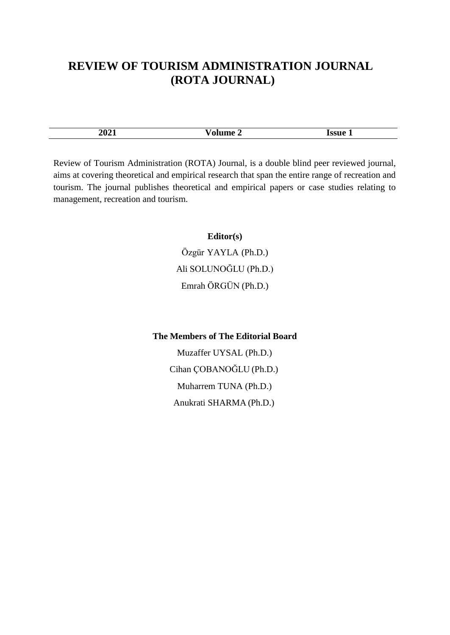## **REVIEW OF TOURISM ADMINISTRATION JOURNAL (ROTA JOURNAL)**

| 2021 | ч.<br>__ | <b>SSHe</b> |
|------|----------|-------------|

Review of Tourism Administration (ROTA) Journa[l, i](http://journalofeconomics.org/index.php/site)s a double blind peer reviewed journal, aims at covering theoretical and empirical research that span the entire range of recreation and tourism. The journal publishes theoretical and empirical papers or case studies relating to management, recreation and tourism.

## **Editor(s)**

[Özgür](http://websitem.gazi.edu.tr/site/yayli) YAYLA (Ph.D.) [Ali S](http://websitem.gazi.edu.tr/site/eyavuz)OLUNOĞLU (Ph.D.) Emrah ÖRGÜN (Ph.D.)

## **The Members of The Editorial Board**

Muzaffer UYSAL (Ph.D.) Cihan ÇOBANOĞLU (Ph.D.) Muharrem TUNA (Ph.D.) Anukrati SHARMA (Ph.D.)